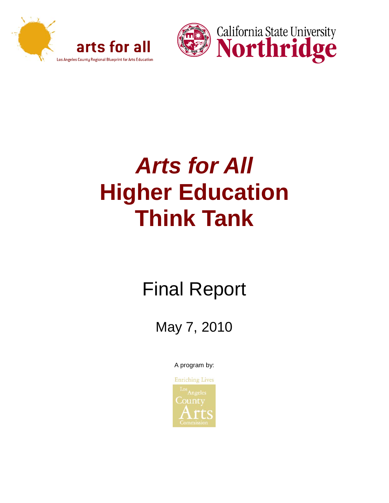



# *Arts for All*  **Higher Education Think Tank**

# Final Report

May 7, 2010

A program by:

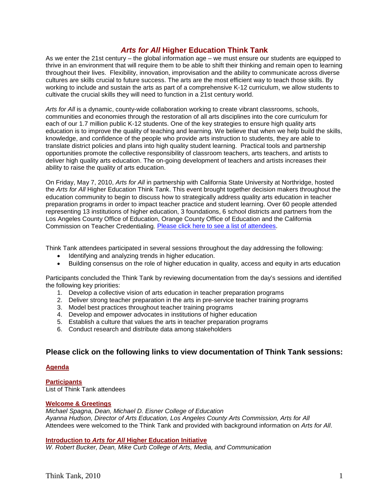# *Arts for All* **Higher Education Think Tank**

As we enter the 21st century – the global information age – we must ensure our students are equipped to thrive in an environment that will require them to be able to shift their thinking and remain open to learning throughout their lives. Flexibility, innovation, improvisation and the ability to communicate across diverse cultures are skills crucial to future success. The arts are the most efficient way to teach those skills. By working to include and sustain the arts as part of a comprehensive K-12 curriculum, we allow students to cultivate the crucial skills they will need to function in a 21st century world.

*Arts for All* is a dynamic, county-wide collaboration working to create vibrant classrooms, schools, communities and economies through the restoration of all arts disciplines into the core curriculum for each of our 1.7 million public K-12 students. One of the key strategies to ensure high quality arts education is to improve the quality of teaching and learning. We believe that when we help build the skills, knowledge, and confidence of the people who provide arts instruction to students, they are able to translate district policies and plans into high quality student learning. Practical tools and partnership opportunities promote the collective responsibility of classroom teachers, arts teachers, and artists to deliver high quality arts education. The on-going development of teachers and artists increases their ability to raise the quality of arts education.

On Friday, May 7, 2010, *Arts for All* in partnership with California State University at Northridge, hosted the *Arts for All* Higher Education Think Tank. This event brought together decision makers throughout the education community to begin to discuss how to strategically address quality arts education in teacher preparation programs in order to impact teacher practice and student learning. Over 60 people attended representing 13 institutions of higher education, 3 foundations, 6 school districts and partners from the Los Angeles County Office of Education, Orange County Office of Education and the California Commission on Teacher Credentialing. [Please click here to see a list of attendees.](#page-5-0)

Think Tank attendees participated in several sessions throughout the day addressing the following:

- Identifying and analyzing trends in higher education.
- Building consensus on the role of higher education in quality, access and equity in arts education

Participants concluded the Think Tank by reviewing documentation from the day's sessions and identified the following key priorities:

- 1. Develop a collective vision of arts education in teacher preparation programs
- 2. Deliver strong teacher preparation in the arts in pre-service teacher training programs
- 3. Model best practices throughout teacher training programs
- 4. Develop and empower advocates in institutions of higher education
- 5. Establish a culture that values the arts in teacher preparation programs
- 6. Conduct research and distribute data among stakeholders

#### <span id="page-1-0"></span>**Please click on the following links to view documentation of Think Tank sessions:**

#### **[Agenda](#page-4-0)**

**[Participants](#page-5-0)** List of Think Tank attendees

#### **[Welcome & Greetings](#page-8-0)**

*Michael Spagna, Dean, Michael D. Eisner College of Education Ayanna Hudson, Director of Arts Education, Los Angeles County Arts Commission, Arts for All*  Attendees were welcomed to the Think Tank and provided with background information on *Arts for All*.

#### **Introduction to** *Arts for All* **[Higher Education Initiative](#page-12-0)**

*W. Robert Bucker, Dean, Mike Curb College of Arts, Media, and Communication*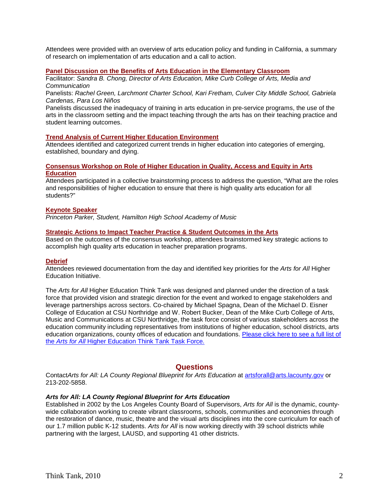Attendees were provided with an overview of arts education policy and funding in California, a summary of research on implementation of arts education and a call to action.

#### **[Panel Discussion on the Benefits of Arts Education in the Elementary Classroom](#page-18-0)**

Facilitator: *Sandra B. Chong, Director of Arts Education, Mike Curb College of Arts, Media and Communication*

Panelists: *Rachel Green, Larchmont Charter School, Kari Fretham, Culver City Middle School, Gabriela Cardenas, Para Los Niños*

Panelists discussed the inadequacy of training in arts education in pre-service programs, the use of the arts in the classroom setting and the impact teaching through the arts has on their teaching practice and student learning outcomes.

#### **[Trend Analysis of Current Higher Education Environment](#page-19-0)**

Attendees identified and categorized current trends in higher education into categories of emerging, established, boundary and dying.

#### **[Consensus Workshop on Role of Higher Education in Quality, Access and Equity in Arts](#page-20-0)  [Education](#page-20-0)**

Attendees participated in a collective brainstorming process to address the question, "What are the roles and responsibilities of higher education to ensure that there is high quality arts education for all students?"

#### **Keynote Speaker**

*Princeton Parker, Student, Hamilton High School Academy of Music*

#### **[Strategic Actions to Impact Teacher Practice & Student Outcomes in the Arts](#page-22-0)**

Based on the outcomes of the consensus workshop, attendees brainstormed key strategic actions to accomplish high quality arts education in teacher preparation programs.

#### **[Debrief](#page-25-0)**

Attendees reviewed documentation from the day and identified key priorities for the *Arts for All* Higher Education Initiative.

The *Arts for All* Higher Education Think Tank was designed and planned under the direction of a task force that provided vision and strategic direction for the event and worked to engage stakeholders and leverage partnerships across sectors. Co-chaired by Michael Spagna, Dean of the Michael D. Eisner College of Education at CSU Northridge and W. Robert Bucker, Dean of the Mike Curb College of Arts, Music and Communications at CSU Northridge, the task force consist of various stakeholders across the education community including representatives from institutions of higher education, school districts, arts education organizations, county offices of education and foundations. [Please click here to see a full list of](#page-8-0)  the *Arts for All* [Higher Education](#page-8-0) Think Tank Task Force.

#### **Questions**

ContactArts for All: LA County Regional Blueprint for Arts Education at [artsforall@arts.lacounty.gov](mailto:ebeach@arts.lacounty.gov) or 213-202-5858.

#### *Arts for All: LA County Regional Blueprint for Arts Education*

Established in 2002 by the Los Angeles County Board of Supervisors, *Arts for All* is the dynamic, countywide collaboration working to create vibrant classrooms, schools, communities and economies through the restoration of dance, music, theatre and the visual arts disciplines into the core curriculum for each of our 1.7 million public K-12 students. *Arts for All* is now working directly with 39 school districts while partnering with the largest, LAUSD, and supporting 41 other districts.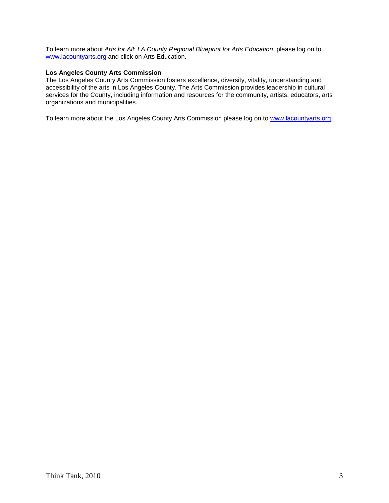To learn more about *Arts for All*: *LA County Regional Blueprint for Arts Education*, please log on to [www.lacountyarts.org](http://r20.rs6.net/tn.jsp?et=1103298079097&s=17394&e=001Q-6wgfkJtozgfZvJcdkyafUCV5g_-7D7cMCcYCQpMzDaPiBTU0vuy_pb9nRKVVwENWHVThvTkjNpDUxrVuGVr1d6eG5MvygD3Rus7TNvKkjYOeBW_CIEAw==) and click on Arts Education.

#### **Los Angeles County Arts Commission**

The Los Angeles County Arts Commission fosters excellence, diversity, vitality, understanding and accessibility of the arts in Los Angeles County. The Arts Commission provides leadership in cultural services for the County, including information and resources for the community, artists, educators, arts organizations and municipalities.

To learn more about the Los Angeles County Arts Commission please log on to [www.lacountyarts.org.](http://www.lacountyarts.org/)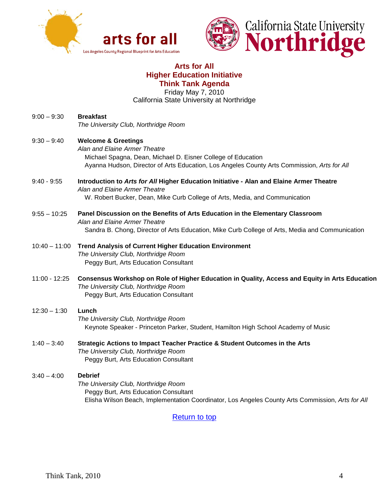



# **Arts for All Higher Education Initiative Think Tank Agenda**

Friday May 7, 2010 California State University at Northridge

<span id="page-4-0"></span>

| $9:00 - 9:30$   | <b>Breakfast</b><br>The University Club, Northridge Room                                                                                                                                                                       |
|-----------------|--------------------------------------------------------------------------------------------------------------------------------------------------------------------------------------------------------------------------------|
| $9:30 - 9:40$   | <b>Welcome &amp; Greetings</b><br>Alan and Elaine Armer Theatre<br>Michael Spagna, Dean, Michael D. Eisner College of Education<br>Ayanna Hudson, Director of Arts Education, Los Angeles County Arts Commission, Arts for All |
| $9:40 - 9:55$   | Introduction to Arts for All Higher Education Initiative - Alan and Elaine Armer Theatre<br>Alan and Elaine Armer Theatre<br>W. Robert Bucker, Dean, Mike Curb College of Arts, Media, and Communication                       |
| $9:55 - 10:25$  | Panel Discussion on the Benefits of Arts Education in the Elementary Classroom<br>Alan and Elaine Armer Theatre<br>Sandra B. Chong, Director of Arts Education, Mike Curb College of Arts, Media and Communication             |
| $10:40 - 11:00$ | <b>Trend Analysis of Current Higher Education Environment</b><br>The University Club, Northridge Room<br>Peggy Burt, Arts Education Consultant                                                                                 |
| 11:00 - 12:25   | Consensus Workshop on Role of Higher Education in Quality, Access and Equity in Arts Education<br>The University Club, Northridge Room<br>Peggy Burt, Arts Education Consultant                                                |
| $12:30 - 1:30$  | Lunch<br>The University Club, Northridge Room<br>Keynote Speaker - Princeton Parker, Student, Hamilton High School Academy of Music                                                                                            |
| $1:40 - 3:40$   | Strategic Actions to Impact Teacher Practice & Student Outcomes in the Arts<br>The University Club, Northridge Room<br>Peggy Burt, Arts Education Consultant                                                                   |
| $3:40 - 4:00$   | <b>Debrief</b><br>The University Club, Northridge Room<br>Peggy Burt, Arts Education Consultant<br>Elisha Wilson Beach, Implementation Coordinator, Los Angeles County Arts Commission, Arts for All                           |
|                 | <b>Return to top</b>                                                                                                                                                                                                           |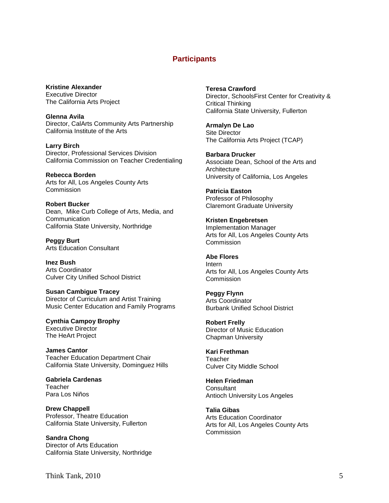## **Participants**

<span id="page-5-0"></span>**Kristine Alexander** Executive Director The California Arts Project

**Glenna Avila** Director, CalArts Community Arts Partnership California Institute of the Arts

**Larry Birch** Director, Professional Services Division California Commission on Teacher Credentialing

**Rebecca Borden** Arts for All, Los Angeles County Arts **Commission** 

**Robert Bucker** Dean, Mike Curb College of Arts, Media, and **Communication** California State University, Northridge

**Peggy Burt** Arts Education Consultant

**Inez Bush** Arts Coordinator Culver City Unified School District

**Susan Cambigue Tracey** Director of Curriculum and Artist Training Music Center Education and Family Programs

**Cynthia Campoy Brophy** Executive Director The HeArt Project

**James Cantor** Teacher Education Department Chair California State University, Dominguez Hills

**Gabriela Cardenas Teacher** Para Los Niños

**Drew Chappell** Professor, Theatre Education California State University, Fullerton

**Sandra Chong** Director of Arts Education California State University, Northridge **Teresa Crawford**

Director, SchoolsFirst Center for Creativity & Critical Thinking California State University, Fullerton

**Armalyn De Lao** Site Director The California Arts Project (TCAP)

**Barbara Drucker** Associate Dean, School of the Arts and **Architecture** University of California, Los Angeles

**Patricia Easton** Professor of Philosophy Claremont Graduate University

**Kristen Engebretsen** Implementation Manager Arts for All, Los Angeles County Arts Commission

**Abe Flores** Intern Arts for All, Los Angeles County Arts **Commission** 

**Peggy Flynn** Arts Coordinator Burbank Unified School District

**Robert Frelly** Director of Music Education Chapman University

**Kari Frethman Teacher** Culver City Middle School

**Helen Friedman Consultant** Antioch University Los Angeles

**Talia Gibas** Arts Education Coordinator Arts for All, Los Angeles County Arts Commission

Think Tank, 2010 5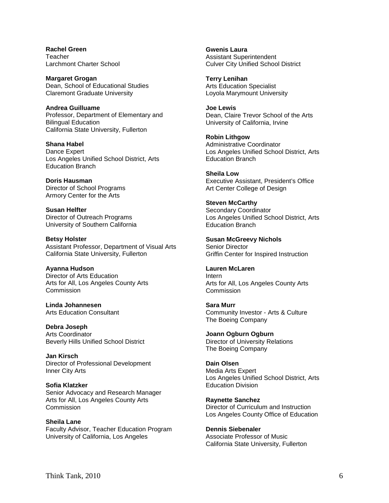**Rachel Green Teacher** Larchmont Charter School

**Margaret Grogan** Dean, School of Educational Studies Claremont Graduate University

**Andrea Guilluame** Professor, Department of Elementary and Bilingual Education California State University, Fullerton

**Shana Habel** Dance Expert Los Angeles Unified School District, Arts Education Branch

**Doris Hausman** Director of School Programs Armory Center for the Arts

**Susan Helfter** Director of Outreach Programs University of Southern California

**Betsy Holster** Assistant Professor, Department of Visual Arts California State University, Fullerton

**Ayanna Hudson** Director of Arts Education Arts for All, Los Angeles County Arts **Commission** 

**Linda Johannesen** Arts Education Consultant

**Debra Joseph** Arts Coordinator Beverly Hills Unified School District

**Jan Kirsch** Director of Professional Development Inner City Arts

**Sofia Klatzker** Senior Advocacy and Research Manager Arts for All, Los Angeles County Arts **Commission** 

**Sheila Lane** Faculty Advisor, Teacher Education Program University of California, Los Angeles

**Gwenis Laura** Assistant Superintendent Culver City Unified School District

**Terry Lenihan** Arts Education Specialist Loyola Marymount University

**Joe Lewis** Dean, Claire Trevor School of the Arts University of California, Irvine

**Robin Lithgow** Administrative Coordinator Los Angeles Unified School District, Arts Education Branch

**Sheila Low** Executive Assistant, President's Office Art Center College of Design

**Steven McCarthy** Secondary Coordinator Los Angeles Unified School District, Arts Education Branch

**Susan McGreevy Nichols** Senior Director Griffin Center for Inspired Instruction

**Lauren McLaren** Intern Arts for All, Los Angeles County Arts Commission

**Sara Murr** The Boeing Company Community Investor - Arts & Culture

**Joann Ogburn Ogburn** Director of University Relations The Boeing Company

**Dain Olsen** Media Arts Expert Los Angeles Unified School District, Arts Education Division

**Raynette Sanchez** Director of Curriculum and Instruction Los Angeles County Office of Education

**Dennis Siebenaler** Associate Professor of Music California State University, Fullerton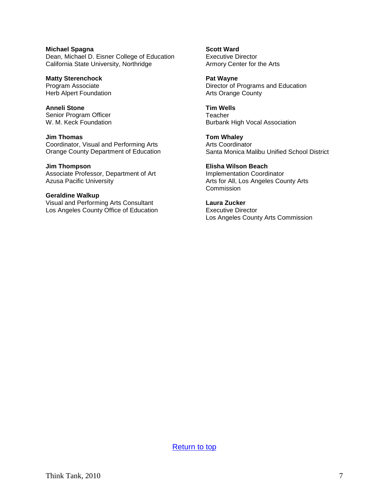**Michael Spagna** Dean, Michael D. Eisner College of Education California State University, Northridge

**Matty Sterenchock** Program Associate Herb Alpert Foundation

**Anneli Stone** Senior Program Officer W. M. Keck Foundation

**Jim Thomas** Coordinator, Visual and Performing Arts Orange County Department of Education

**Jim Thompson** Associate Professor, Department of Art Azusa Pacific University

**Geraldine Walkup** Visual and Performing Arts Consultant Los Angeles County Office of Education **Scott Ward** Executive Director Armory Center for the Arts

**Pat Wayne** Director of Programs and Education Arts Orange County

**Tim Wells Teacher** Burbank High Vocal Association

**Tom Whaley** Arts Coordinator Santa Monica Malibu Unified School District

**Elisha Wilson Beach** Implementation Coordinator Arts for All, Los Angeles County Arts Commission

**Laura Zucker** Executive Director Los Angeles County Arts Commission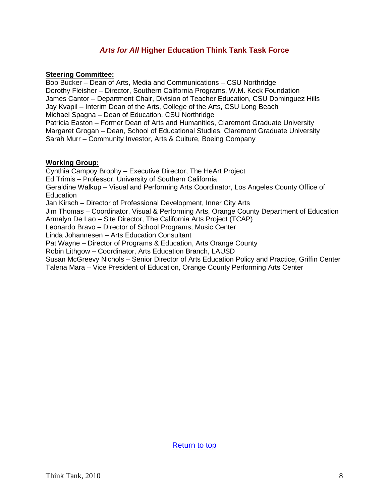# <span id="page-8-0"></span>*Arts for All* **Higher Education Think Tank Task Force**

#### **Steering Committee:**

Bob Bucker – Dean of Arts, Media and Communications – CSU Northridge Dorothy Fleisher – Director, Southern California Programs, W.M. Keck Foundation James Cantor – Department Chair, Division of Teacher Education, CSU Dominguez Hills Jay Kvapil – Interim Dean of the Arts, College of the Arts, CSU Long Beach Michael Spagna – Dean of Education, CSU Northridge Patricia Easton – Former Dean of Arts and Humanities, Claremont Graduate University Margaret Grogan – Dean, School of Educational Studies, Claremont Graduate University Sarah Murr – Community Investor, Arts & Culture, Boeing Company

#### **Working Group:**

Cynthia Campoy Brophy – Executive Director, The HeArt Project Ed Trimis – Professor, University of Southern California Geraldine Walkup – Visual and Performing Arts Coordinator, Los Angeles County Office of **Education** Jan Kirsch – Director of Professional Development, Inner City Arts Jim Thomas – Coordinator, Visual & Performing Arts, Orange County Department of Education Armalyn De Lao – Site Director, The California Arts Project (TCAP) Leonardo Bravo – Director of School Programs, Music Center Linda Johannesen – Arts Education Consultant Pat Wayne – Director of Programs & Education, Arts Orange County Robin Lithgow – Coordinator, Arts Education Branch, LAUSD Susan McGreevy Nichols – Senior Director of Arts Education Policy and Practice, Griffin Center Talena Mara – Vice President of Education, Orange County Performing Arts Center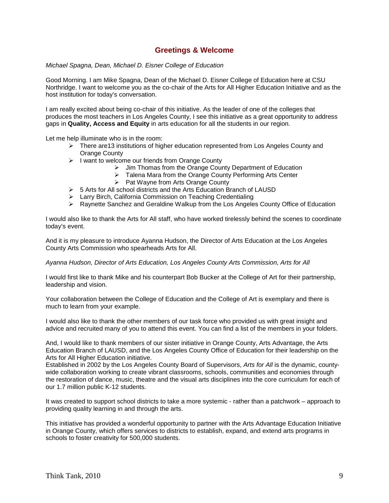## **Greetings & Welcome**

#### *Michael Spagna, Dean, Michael D. Eisner College of Education*

Good Morning. I am Mike Spagna, Dean of the Michael D. Eisner College of Education here at CSU Northridge. I want to welcome you as the co-chair of the Arts for All Higher Education Initiative and as the host institution for today's conversation.

I am really excited about being co-chair of this initiative. As the leader of one of the colleges that produces the most teachers in Los Angeles County, I see this initiative as a great opportunity to address gaps in **Quality, Access and Equity** in arts education for all the students in our region.

Let me help illuminate who is in the room:

- $\triangleright$  There are 13 institutions of higher education represented from Los Angeles County and Orange County
- $\triangleright$  I want to welcome our friends from Orange County
	- $\triangleright$  Jim Thomas from the Orange County Department of Education
	- > Talena Mara from the Orange County Performing Arts Center
	- $\triangleright$  Pat Wayne from Arts Orange County
- $\geq$  5 Arts for All school districts and the Arts Education Branch of LAUSD
- Larry Birch, California Commission on Teaching Credentialing
- $\triangleright$  Raynette Sanchez and Geraldine Walkup from the Los Angeles County Office of Education

I would also like to thank the Arts for All staff, who have worked tirelessly behind the scenes to coordinate today's event.

And it is my pleasure to introduce Ayanna Hudson, the Director of Arts Education at the Los Angeles County Arts Commission who spearheads Arts for All.

*Ayanna Hudson, Director of Arts Education, Los Angeles County Arts Commission, Arts for All* 

I would first like to thank Mike and his counterpart Bob Bucker at the College of Art for their partnership, leadership and vision.

Your collaboration between the College of Education and the College of Art is exemplary and there is much to learn from your example.

I would also like to thank the other members of our task force who provided us with great insight and advice and recruited many of you to attend this event. You can find a list of the members in your folders.

And, I would like to thank members of our sister initiative in Orange County, Arts Advantage, the Arts Education Branch of LAUSD, and the Los Angeles County Office of Education for their leadership on the Arts for All Higher Education initiative.

Established in 2002 by the Los Angeles County Board of Supervisors, *Arts for All* is the dynamic, countywide collaboration working to create vibrant classrooms, schools, communities and economies through the restoration of dance, music, theatre and the visual arts disciplines into the core curriculum for each of our 1.7 million public K-12 students.

It was created to support school districts to take a more systemic - rather than a patchwork – approach to providing quality learning in and through the arts.

This initiative has provided a wonderful opportunity to partner with the Arts Advantage Education Initiative in Orange County, which offers services to districts to establish, expand, and extend arts programs in schools to foster creativity for 500,000 students.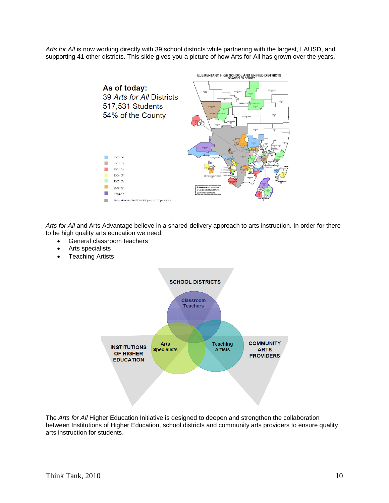*Arts for All* is now working directly with 39 school districts while partnering with the largest, LAUSD, and supporting 41 other districts. This slide gives you a picture of how Arts for All has grown over the years.



*Arts for All* and Arts Advantage believe in a shared-delivery approach to arts instruction. In order for there to be high quality arts education we need:

- General classroom teachers
- Arts specialists
- **Teaching Artists**



The *Arts for All* Higher Education Initiative is designed to deepen and strengthen the collaboration between Institutions of Higher Education, school districts and community arts providers to ensure quality arts instruction for students.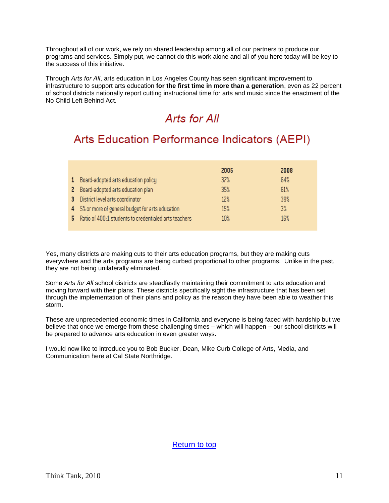Throughout all of our work, we rely on shared leadership among all of our partners to produce our programs and services. Simply put, we cannot do this work alone and all of you here today will be key to the success of this initiative.

Through *Arts for All*, arts education in Los Angeles County has seen significant improvement to infrastructure to support arts education **for the first time in more than a generation**, even as 22 percent of school districts nationally report cutting instructional time for arts and music since the enactment of the No Child Left Behind Act.

# Arts for All

# **Arts Education Performance Indicators (AEPI)**

|                                                         | 2005 | 2008 |
|---------------------------------------------------------|------|------|
| 1 Board-adopted arts education policy                   | 37%  | 64%  |
| 2 Board-adopted arts education plan                     | 35%  | 61%  |
| 3 District level arts coordinator                       | 12%  | 39%  |
| 4 5% or more of general budget for arts education       | 15%  | 3%   |
| 5 Ratio of 400:1 students to credentialed arts teachers | 10%  | 16%  |

Yes, many districts are making cuts to their arts education programs, but they are making cuts everywhere and the arts programs are being curbed proportional to other programs. Unlike in the past, they are not being unilaterally eliminated.

Some *Arts for All* school districts are steadfastly maintaining their commitment to arts education and moving forward with their plans. These districts specifically sight the infrastructure that has been set through the implementation of their plans and policy as the reason they have been able to weather this storm.

These are unprecedented economic times in California and everyone is being faced with hardship but we believe that once we emerge from these challenging times – which will happen – our school districts will be prepared to advance arts education in even greater ways.

I would now like to introduce you to Bob Bucker, Dean, Mike Curb College of Arts, Media, and Communication here at Cal State Northridge.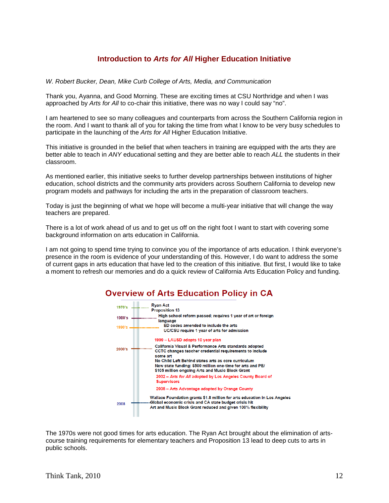# **Introduction to** *Arts for All* **Higher Education Initiative**

<span id="page-12-0"></span>*W. Robert Bucker, Dean, Mike Curb College of Arts, Media, and Communication* 

Thank you, Ayanna, and Good Morning. These are exciting times at CSU Northridge and when I was approached by *Arts for All* to co-chair this initiative, there was no way I could say "no".

I am heartened to see so many colleagues and counterparts from across the Southern California region in the room. And I want to thank all of you for taking the time from what I know to be very busy schedules to participate in the launching of the *Arts for All* Higher Education Initiative.

This initiative is grounded in the belief that when teachers in training are equipped with the arts they are better able to teach in *ANY* educational setting and they are better able to reach *ALL* the students in their classroom.

As mentioned earlier, this initiative seeks to further develop partnerships between institutions of higher education, school districts and the community arts providers across Southern California to develop new program models and pathways for including the arts in the preparation of classroom teachers.

Today is just the beginning of what we hope will become a multi-year initiative that will change the way teachers are prepared.

There is a lot of work ahead of us and to get us off on the right foot I want to start with covering some background information on arts education in California.

I am not going to spend time trying to convince you of the importance of arts education. I think everyone's presence in the room is evidence of your understanding of this. However, I do want to address the some of current gaps in arts education that have led to the creation of this initiative. But first, I would like to take a moment to refresh our memories and do a quick review of California Arts Education Policy and funding.

# **Overview of Arts Education Policy in CA**



The 1970s were not good times for arts education. The Ryan Act brought about the elimination of artscourse training requirements for elementary teachers and Proposition 13 lead to deep cuts to arts in public schools.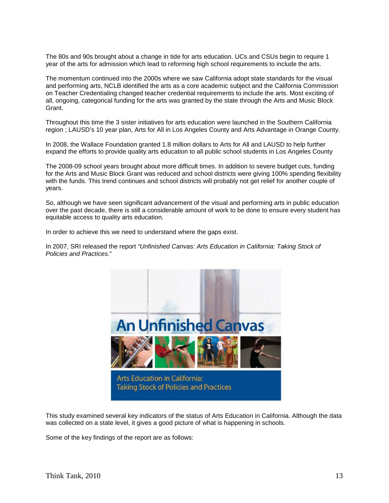The 80s and 90s brought about a change in tide for arts education. UCs and CSUs begin to require 1 year of the arts for admission which lead to reforming high school requirements to include the arts.

The momentum continued into the 2000s where we saw California adopt state standards for the visual and performing arts, NCLB identified the arts as a core academic subject and the California Commission on Teacher Credentialing changed teacher credential requirements to include the arts. Most exciting of all, ongoing, categorical funding for the arts was granted by the state through the Arts and Music Block Grant.

Throughout this time the 3 sister initiatives for arts education were launched in the Southern California region ; LAUSD's 10 year plan, Arts for All in Los Angeles County and Arts Advantage in Orange County.

In 2008, the Wallace Foundation granted 1.8 million dollars to Arts for All and LAUSD to help further expand the efforts to provide quality arts education to all public school students in Los Angeles County

The 2008-09 school years brought about more difficult times. In addition to severe budget cuts, funding for the Arts and Music Block Grant was reduced and school districts were giving 100% spending flexibility with the funds. This trend continues and school districts will probably not get relief for another couple of years.

So, although we have seen significant advancement of the visual and performing arts in public education over the past decade, there is still a considerable amount of work to be done to ensure every student has equitable access to quality arts education.

In order to achieve this we need to understand where the gaps exist.

In 2007, SRI released the report *"Unfinished Canvas: Arts Education in California: Taking Stock of Policies and Practices.*"



This study examined several key indicators of the status of Arts Education in California. Although the data was collected on a state level, it gives a good picture of what is happening in schools.

Some of the key findings of the report are as follows: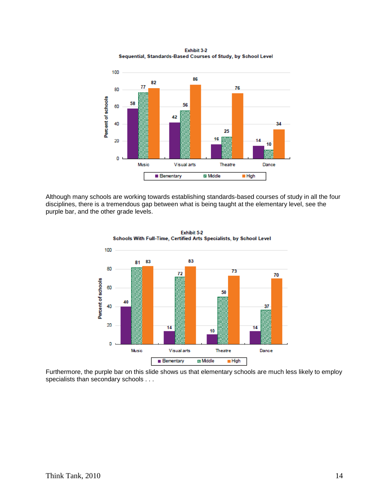Exhibit 3-2 Sequential, Standards-Based Courses of Study, by School Level



Although many schools are working towards establishing standards-based courses of study in all the four disciplines, there is a tremendous gap between what is being taught at the elementary level, see the purple bar, and the other grade levels.



Exhibit 5-2 Schools With Full-Time, Certified Arts Specialists, by School Level

Furthermore, the purple bar on this slide shows us that elementary schools are much less likely to employ specialists than secondary schools . . .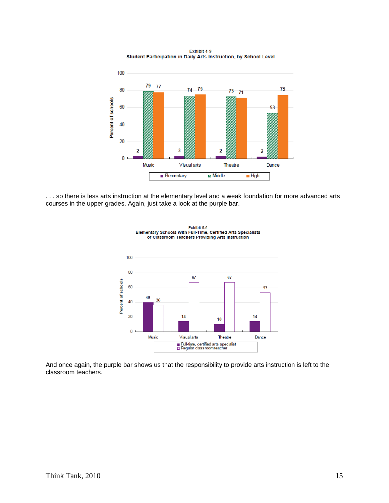Exhibit 4-9 Student Participation in Daily Arts Instruction, by School Level



. . . so there is less arts instruction at the elementary level and a weak foundation for more advanced arts courses in the upper grades. Again, just take a look at the purple bar.



Exhibit 5-6<br>Elementary Schools With Full-Time, Certified Arts Specialists<br>or Classroom Teachers Providing Arts Instruction

And once again, the purple bar shows us that the responsibility to provide arts instruction is left to the classroom teachers.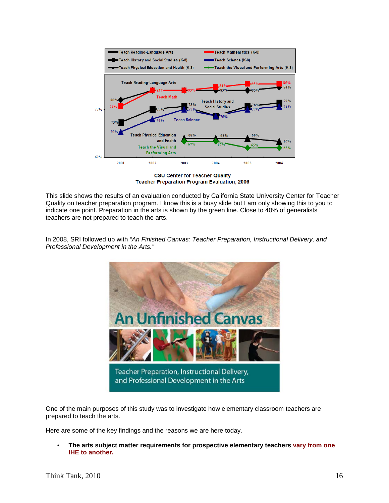

**CSU Center for Teacher Quality Teacher Preparation Program Evaluation, 2006** 

This slide shows the results of an evaluation conducted by California State University Center for Teacher Quality on teacher preparation program. I know this is a busy slide but I am only showing this to you to indicate one point. Preparation in the arts is shown by the green line. Close to 40% of generalists teachers are not prepared to teach the arts.

In 2008, SRI followed up with *"An Finished Canvas: Teacher Preparation, Instructional Delivery, and Professional Development in the Arts."*



One of the main purposes of this study was to investigate how elementary classroom teachers are prepared to teach the arts.

Here are some of the key findings and the reasons we are here today.

• **The arts subject matter requirements for prospective elementary teachers vary from one IHE to another.**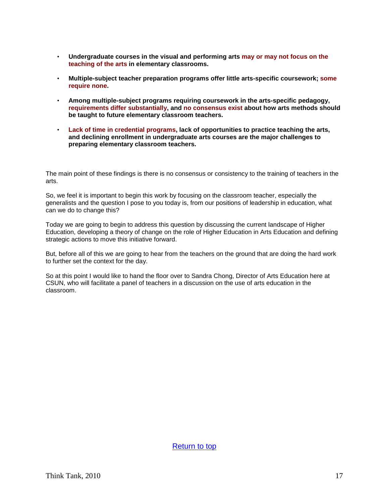- **Undergraduate courses in the visual and performing arts may or may not focus on the teaching of the arts in elementary classrooms.**
- **Multiple-subject teacher preparation programs offer little arts-specific coursework; some require none.**
- **Among multiple-subject programs requiring coursework in the arts-specific pedagogy, requirements differ substantially, and no consensus exist about how arts methods should be taught to future elementary classroom teachers.**
- **Lack of time in credential programs, lack of opportunities to practice teaching the arts, and declining enrollment in undergraduate arts courses are the major challenges to preparing elementary classroom teachers.**

The main point of these findings is there is no consensus or consistency to the training of teachers in the arts.

So, we feel it is important to begin this work by focusing on the classroom teacher, especially the generalists and the question I pose to you today is, from our positions of leadership in education, what can we do to change this?

Today we are going to begin to address this question by discussing the current landscape of Higher Education, developing a theory of change on the role of Higher Education in Arts Education and defining strategic actions to move this initiative forward.

But, before all of this we are going to hear from the teachers on the ground that are doing the hard work to further set the context for the day.

So at this point I would like to hand the floor over to Sandra Chong, Director of Arts Education here at CSUN, who will facilitate a panel of teachers in a discussion on the use of arts education in the classroom.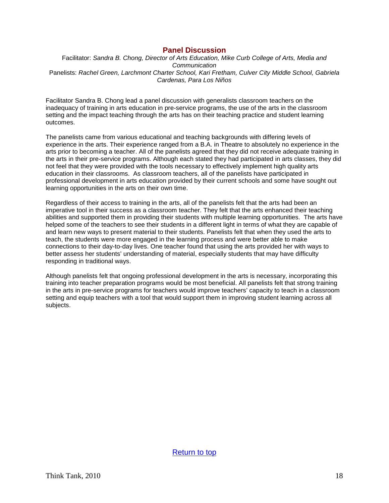#### <span id="page-18-0"></span>**Panel Discussion**

Facilitator: *Sandra B. Chong, Director of Arts Education, Mike Curb College of Arts, Media and Communication* Panelists: *Rachel Green, Larchmont Charter School, Kari Fretham, Culver City Middle School, Gabriela Cardenas, Para Los Niños*

Facilitator Sandra B. Chong lead a panel discussion with generalists classroom teachers on the inadequacy of training in arts education in pre-service programs, the use of the arts in the classroom setting and the impact teaching through the arts has on their teaching practice and student learning outcomes.

The panelists came from various educational and teaching backgrounds with differing levels of experience in the arts. Their experience ranged from a B.A. in Theatre to absolutely no experience in the arts prior to becoming a teacher. All of the panelists agreed that they did not receive adequate training in the arts in their pre-service programs. Although each stated they had participated in arts classes, they did not feel that they were provided with the tools necessary to effectively implement high quality arts education in their classrooms. As classroom teachers, all of the panelists have participated in professional development in arts education provided by their current schools and some have sought out learning opportunities in the arts on their own time.

Regardless of their access to training in the arts, all of the panelists felt that the arts had been an imperative tool in their success as a classroom teacher. They felt that the arts enhanced their teaching abilities and supported them in providing their students with multiple learning opportunities. The arts have helped some of the teachers to see their students in a different light in terms of what they are capable of and learn new ways to present material to their students. Panelists felt that when they used the arts to teach, the students were more engaged in the learning process and were better able to make connections to their day-to-day lives. One teacher found that using the arts provided her with ways to better assess her students' understanding of material, especially students that may have difficulty responding in traditional ways.

Although panelists felt that ongoing professional development in the arts is necessary, incorporating this training into teacher preparation programs would be most beneficial. All panelists felt that strong training in the arts in pre-service programs for teachers would improve teachers' capacity to teach in a classroom setting and equip teachers with a tool that would support them in improving student learning across all subjects.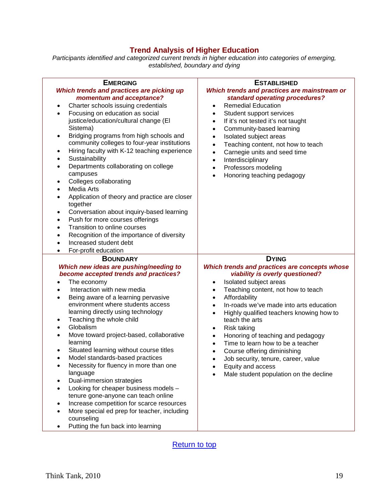# <span id="page-19-0"></span>**Trend Analysis of Higher Education**

*Participants identified and categorized current trends in higher education into categories of emerging, established, boundary and dying*

| <b>EMERGING</b><br>Which trends and practices are picking up<br>momentum and acceptance?<br>Charter schools issuing credentials<br>٠<br>Focusing on education as social<br>$\bullet$<br>justice/education/cultural change (EI<br>Sistema)<br>Bridging programs from high schools and<br>٠<br>community colleges to four-year institutions<br>Hiring faculty with K-12 teaching experience<br>٠<br>Sustainability<br>$\bullet$<br>Departments collaborating on college<br>$\bullet$<br>campuses<br>Colleges collaborating<br>٠<br>Media Arts<br>$\bullet$<br>Application of theory and practice are closer<br>together<br>Conversation about inquiry-based learning<br>٠<br>Push for more courses offerings<br>$\bullet$<br>Transition to online courses<br>$\bullet$<br>Recognition of the importance of diversity<br>$\bullet$<br>Increased student debt<br>$\bullet$<br>For-profit education<br>$\bullet$ | <b>ESTABLISHED</b><br>Which trends and practices are mainstream or<br>standard operating procedures?<br><b>Remedial Education</b><br>$\bullet$<br>Student support services<br>$\bullet$<br>If it's not tested it's not taught<br>$\bullet$<br>Community-based learning<br>$\bullet$<br>Isolated subject areas<br>$\bullet$<br>Teaching content, not how to teach<br>$\bullet$<br>Carnegie units and seed time<br>$\bullet$<br>Interdisciplinary<br>$\bullet$<br>Professors modeling<br>$\bullet$<br>Honoring teaching pedagogy<br>$\bullet$                                                                         |
|-------------------------------------------------------------------------------------------------------------------------------------------------------------------------------------------------------------------------------------------------------------------------------------------------------------------------------------------------------------------------------------------------------------------------------------------------------------------------------------------------------------------------------------------------------------------------------------------------------------------------------------------------------------------------------------------------------------------------------------------------------------------------------------------------------------------------------------------------------------------------------------------------------------|---------------------------------------------------------------------------------------------------------------------------------------------------------------------------------------------------------------------------------------------------------------------------------------------------------------------------------------------------------------------------------------------------------------------------------------------------------------------------------------------------------------------------------------------------------------------------------------------------------------------|
| <b>BOUNDARY</b><br>Which new ideas are pushing/needing to<br>become accepted trends and practices?<br>The economy<br>Interaction with new media<br>$\bullet$<br>Being aware of a learning pervasive<br>$\bullet$<br>environment where students access<br>learning directly using technology<br>Teaching the whole child<br>٠<br>Globalism<br>$\bullet$<br>Move toward project-based, collaborative<br>$\bullet$<br>learning<br>Situated learning without course titles<br>Model standards-based practices<br>Necessity for fluency in more than one<br>٠<br>language<br>Dual-immersion strategies<br>٠<br>Looking for cheaper business models -<br>٠<br>tenure gone-anyone can teach online<br>Increase competition for scarce resources<br>٠<br>More special ed prep for teacher, including<br>٠<br>counseling<br>Putting the fun back into learning<br>٠                                                  | <b>DYING</b><br>Which trends and practices are concepts whose<br>viability is overly questioned?<br>Isolated subject areas<br>$\bullet$<br>Teaching content, not how to teach<br>$\bullet$<br>Affordability<br>$\bullet$<br>In-roads we've made into arts education<br>$\bullet$<br>Highly qualified teachers knowing how to<br>$\bullet$<br>teach the arts<br>Risk taking<br>$\bullet$<br>Honoring of teaching and pedagogy<br>$\bullet$<br>Time to learn how to be a teacher<br>Course offering diminishing<br>Job security, tenure, career, value<br>Equity and access<br>Male student population on the decline |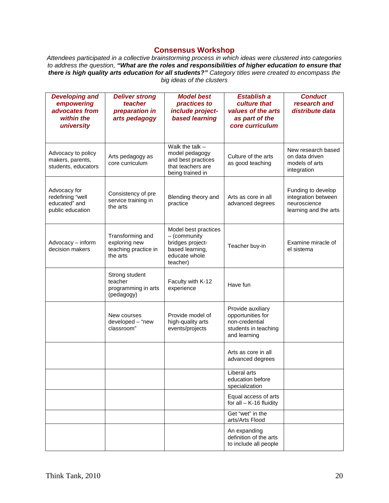# <span id="page-20-0"></span>**Consensus Workshop**

*Attendees participated in a collective brainstorming process in which ideas were clustered into categories to address the question, "What are the roles and responsibilities of higher education to ensure that there is high quality arts education for all students?" Category titles were created to encompass the big ideas of the clusters*

| <b>Developing and</b><br>empowering<br>advocates from<br>within the<br>university | <b>Deliver strong</b><br>teacher<br>preparation in<br>arts pedagogy   | <b>Model best</b><br>practices to<br>include project-<br>based learning                                  | <b>Establish a</b><br>culture that<br>values of the arts<br>as part of the<br>core curriculum    | <b>Conduct</b><br>research and<br>distribute data                                  |
|-----------------------------------------------------------------------------------|-----------------------------------------------------------------------|----------------------------------------------------------------------------------------------------------|--------------------------------------------------------------------------------------------------|------------------------------------------------------------------------------------|
| Advocacy to policy<br>makers, parents,<br>students, educators                     | Arts pedagogy as<br>core curriculum                                   | Walk the talk $-$<br>model pedagogy<br>and best practices<br>that teachers are<br>being trained in       | Culture of the arts<br>as good teaching                                                          | New research based<br>on data driven<br>models of arts<br>integration              |
| Advocacy for<br>redefining "well<br>educated" and<br>public education             | Consistency of pre<br>service training in<br>the arts                 | Blending theory and<br>practice                                                                          | Arts as core in all<br>advanced degrees                                                          | Funding to develop<br>integration between<br>neuroscience<br>learning and the arts |
| Advocacy - inform<br>decision makers                                              | Transforming and<br>exploring new<br>teaching practice in<br>the arts | Model best practices<br>- (community<br>bridges project-<br>based learning,<br>educate whole<br>teacher) | Teacher buy-in                                                                                   | Examine miracle of<br>el sistema                                                   |
|                                                                                   | Strong student<br>teacher<br>programming in arts<br>(pedagogy)        | Faculty with K-12<br>experience                                                                          | Have fun                                                                                         |                                                                                    |
|                                                                                   | New courses<br>developed - "new<br>classroom"                         | Provide model of<br>high-quality arts<br>events/projects                                                 | Provide auxiliary<br>opportunities for<br>non-credential<br>students in teaching<br>and learning |                                                                                    |
|                                                                                   |                                                                       |                                                                                                          | Arts as core in all<br>advanced degrees                                                          |                                                                                    |
|                                                                                   |                                                                       |                                                                                                          | Liberal arts<br>education before<br>specialization                                               |                                                                                    |
|                                                                                   |                                                                       |                                                                                                          | Equal access of arts<br>for all $-$ K-16 fluidity                                                |                                                                                    |
|                                                                                   |                                                                       |                                                                                                          | Get "wet" in the<br>arts/Arts Flood                                                              |                                                                                    |
|                                                                                   |                                                                       |                                                                                                          | An expanding<br>definition of the arts<br>to include all people                                  |                                                                                    |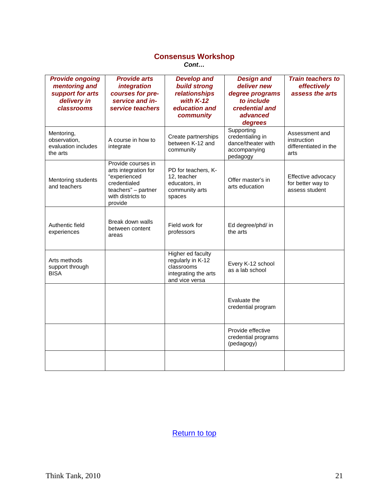## **Consensus Workshop** *Cont…*

| <b>Provide ongoing</b><br>mentoring and<br>support for arts<br>delivery in<br>classrooms | <b>Provide arts</b><br><i>integration</i><br>courses for pre-<br>service and in-<br>service teachers                              | <b>Develop and</b><br><b>build strong</b><br>relationships<br>with $K-12$<br>education and<br>community | <b>Design and</b><br>deliver new<br>degree programs<br>to include<br>credential and<br>advanced<br>degrees | <b>Train teachers to</b><br>effectively<br>assess the arts     |
|------------------------------------------------------------------------------------------|-----------------------------------------------------------------------------------------------------------------------------------|---------------------------------------------------------------------------------------------------------|------------------------------------------------------------------------------------------------------------|----------------------------------------------------------------|
| Mentoring,<br>observation,<br>evaluation includes<br>the arts                            | A course in how to<br>integrate                                                                                                   | Create partnerships<br>between K-12 and<br>community                                                    | Supporting<br>credentialing in<br>dance/theater with<br>accompanying<br>pedagogy                           | Assessment and<br>instruction<br>differentiated in the<br>arts |
| Mentoring students<br>and teachers                                                       | Provide courses in<br>arts integration for<br>"experienced<br>credentialed<br>teachers" - partner<br>with districts to<br>provide | PD for teachers, K-<br>12, teacher<br>educators, in<br>community arts<br>spaces                         | Offer master's in<br>arts education                                                                        | Effective advocacy<br>for better way to<br>assess student      |
| Authentic field<br>experiences                                                           | Break down walls<br>between content<br>areas                                                                                      | Field work for<br>professors                                                                            | Ed degree/phd/ in<br>the arts                                                                              |                                                                |
| Arts methods<br>support through<br><b>BISA</b>                                           |                                                                                                                                   | Higher ed faculty<br>regularly in K-12<br>classrooms<br>integrating the arts<br>and vice versa          | Every K-12 school<br>as a lab school                                                                       |                                                                |
|                                                                                          |                                                                                                                                   |                                                                                                         | Evaluate the<br>credential program                                                                         |                                                                |
|                                                                                          |                                                                                                                                   |                                                                                                         | Provide effective<br>credential programs<br>(pedagogy)                                                     |                                                                |
|                                                                                          |                                                                                                                                   |                                                                                                         |                                                                                                            |                                                                |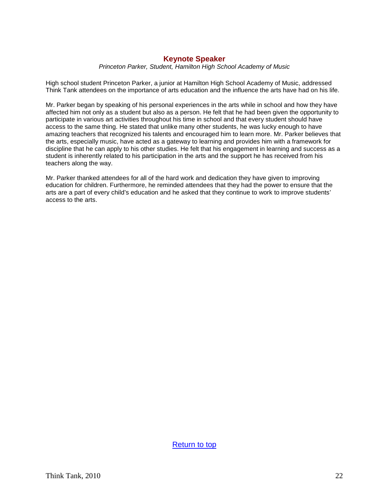# **Keynote Speaker**

*Princeton Parker, Student, Hamilton High School Academy of Music*

High school student Princeton Parker, a junior at Hamilton High School Academy of Music, addressed Think Tank attendees on the importance of arts education and the influence the arts have had on his life.

Mr. Parker began by speaking of his personal experiences in the arts while in school and how they have affected him not only as a student but also as a person. He felt that he had been given the opportunity to participate in various art activities throughout his time in school and that every student should have access to the same thing. He stated that unlike many other students, he was lucky enough to have amazing teachers that recognized his talents and encouraged him to learn more. Mr. Parker believes that the arts, especially music, have acted as a gateway to learning and provides him with a framework for discipline that he can apply to his other studies. He felt that his engagement in learning and success as a student is inherently related to his participation in the arts and the support he has received from his teachers along the way.

<span id="page-22-0"></span>Mr. Parker thanked attendees for all of the hard work and dedication they have given to improving education for children. Furthermore, he reminded attendees that they had the power to ensure that the arts are a part of every child's education and he asked that they continue to work to improve students' access to the arts.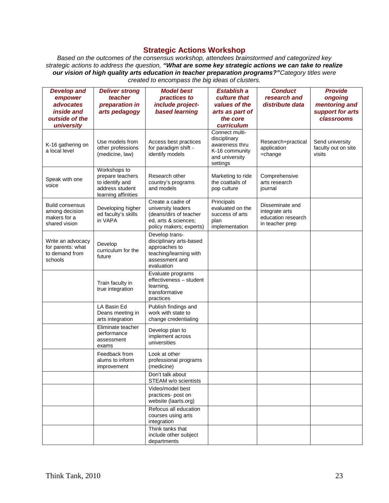# **Strategic Actions Workshop**

*Based on the outcomes of the consensus workshop, attendees brainstormed and categorized key strategic actions to address the question, "What are some key strategic actions we can take to realize our vision of high quality arts education in teacher preparation programs?"Category titles were created to encompass the big ideas of clusters.*

| <b>Develop and</b>     | <b>Deliver strong</b>                | <b>Model best</b>                              | <b>Establish a</b>                    | <b>Conduct</b>                 | <b>Provide</b>      |
|------------------------|--------------------------------------|------------------------------------------------|---------------------------------------|--------------------------------|---------------------|
| empower                | teacher                              | practices to                                   | culture that                          | research and                   | ongoing             |
| advocates              | preparation in                       | include project-                               | values of the                         | distribute data                | mentoring and       |
| <i>inside and</i>      | arts pedagogy                        | based learning                                 | arts as part of                       |                                | support for arts    |
| outside of the         |                                      |                                                | the core                              |                                | classrooms          |
| university             |                                      |                                                | curriculum                            |                                |                     |
|                        |                                      |                                                | Connect multi-<br>disciplinary        |                                |                     |
| K-16 gathering on      | Use models from                      | Access best practices                          | awareness thru                        | Research+practical             | Send university     |
| a local level          | other professions                    | for paradigm shift -<br>identify models        | K-16 community                        | application                    | faculty out on site |
|                        | (medicine, law)                      |                                                | and university                        | $=$ change                     | visits              |
|                        |                                      |                                                | settings                              |                                |                     |
|                        | Workshops to                         |                                                |                                       |                                |                     |
| Speak with one         | prepare teachers<br>to identify and  | Research other<br>country's programs           | Marketing to ride<br>the coattails of | Comprehensive<br>arts research |                     |
| voice                  | address student                      | and models                                     | pop culture                           | journal                        |                     |
|                        | learning affinities                  |                                                |                                       |                                |                     |
| <b>Build consensus</b> |                                      | Create a cadre of                              | Principals                            | Disseminate and                |                     |
| among decision         | Developing higher                    | university leaders                             | evaluated on the                      | integrate arts                 |                     |
| makers for a           | ed faculty's skills<br>in VAPA       | (deans/dirs of teacher<br>ed, arts & sciences; | success of arts<br>plan               | education research             |                     |
| shared vision          |                                      | policy makers; experts)                        | implementation                        | in teacher prep                |                     |
|                        |                                      | Develop trans-                                 |                                       |                                |                     |
| Write an advocacy      | Develop                              | disciplinary arts-based                        |                                       |                                |                     |
| for parents: what      | curriculum for the                   | approaches to                                  |                                       |                                |                     |
| to demand from         | future                               | teaching/learning with                         |                                       |                                |                     |
| schools                |                                      | assessment and<br>evaluation                   |                                       |                                |                     |
|                        |                                      | Evaluate programs                              |                                       |                                |                     |
|                        |                                      | effectiveness - student                        |                                       |                                |                     |
|                        | Train faculty in<br>true integration | learning,                                      |                                       |                                |                     |
|                        |                                      | transformative                                 |                                       |                                |                     |
|                        |                                      | practices                                      |                                       |                                |                     |
|                        | LA Basin Ed<br>Deans meeting in      | Publish findings and<br>work with state to     |                                       |                                |                     |
|                        | arts integration                     | change credentialing                           |                                       |                                |                     |
|                        | Eliminate teacher                    |                                                |                                       |                                |                     |
|                        | performance                          | Develop plan to                                |                                       |                                |                     |
|                        | assessment                           | implement across<br>universities               |                                       |                                |                     |
|                        | exams                                |                                                |                                       |                                |                     |
|                        | Feedback from                        | Look at other                                  |                                       |                                |                     |
|                        | alums to inform<br>improvement       | professional programs<br>(medicine)            |                                       |                                |                     |
|                        |                                      | Don't talk about                               |                                       |                                |                     |
|                        |                                      | STEAM w/o scientists                           |                                       |                                |                     |
|                        |                                      | Video/model best                               |                                       |                                |                     |
|                        |                                      | practices- post on                             |                                       |                                |                     |
|                        |                                      | website (laarts.org)                           |                                       |                                |                     |
|                        |                                      | Refocus all education<br>courses using arts    |                                       |                                |                     |
|                        |                                      | integration                                    |                                       |                                |                     |
|                        |                                      | Think tanks that                               |                                       |                                |                     |
|                        |                                      | include other subject                          |                                       |                                |                     |
|                        |                                      | departments                                    |                                       |                                |                     |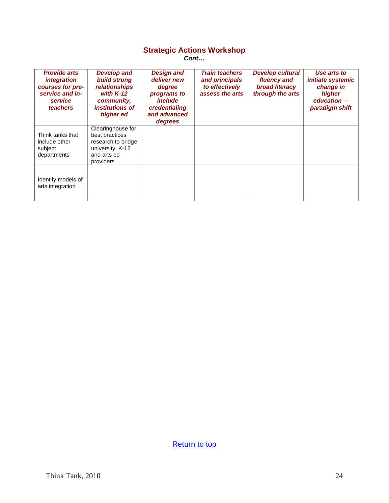## **Strategic Actions Workshop**

*Cont…*

| <b>Provide arts</b><br>integration<br>courses for pre-<br>service and in-<br>service<br>teachers | <b>Develop and</b><br><b>build strong</b><br><i>relationships</i><br>with $K-12$<br>community,<br><i>institutions of</i><br>higher ed | <b>Design and</b><br>deliver new<br>degree<br>programs to<br><i>include</i><br>credentialing<br>and advanced<br>degrees | <b>Train teachers</b><br>and principals<br>to effectively<br>assess the arts | <b>Develop cultural</b><br>fluency and<br>broad literacy<br>through the arts | Use arts to<br><i>initiate systemic</i><br>change in<br>higher<br>education $-$<br>paradigm shift |
|--------------------------------------------------------------------------------------------------|---------------------------------------------------------------------------------------------------------------------------------------|-------------------------------------------------------------------------------------------------------------------------|------------------------------------------------------------------------------|------------------------------------------------------------------------------|---------------------------------------------------------------------------------------------------|
| Think tanks that<br>include other<br>subject<br>departments                                      | Clearinghouse for<br>best practices<br>research to bridge<br>university, K-12<br>and arts ed<br>providers                             |                                                                                                                         |                                                                              |                                                                              |                                                                                                   |
| Identify models of<br>arts integration                                                           |                                                                                                                                       |                                                                                                                         |                                                                              |                                                                              |                                                                                                   |